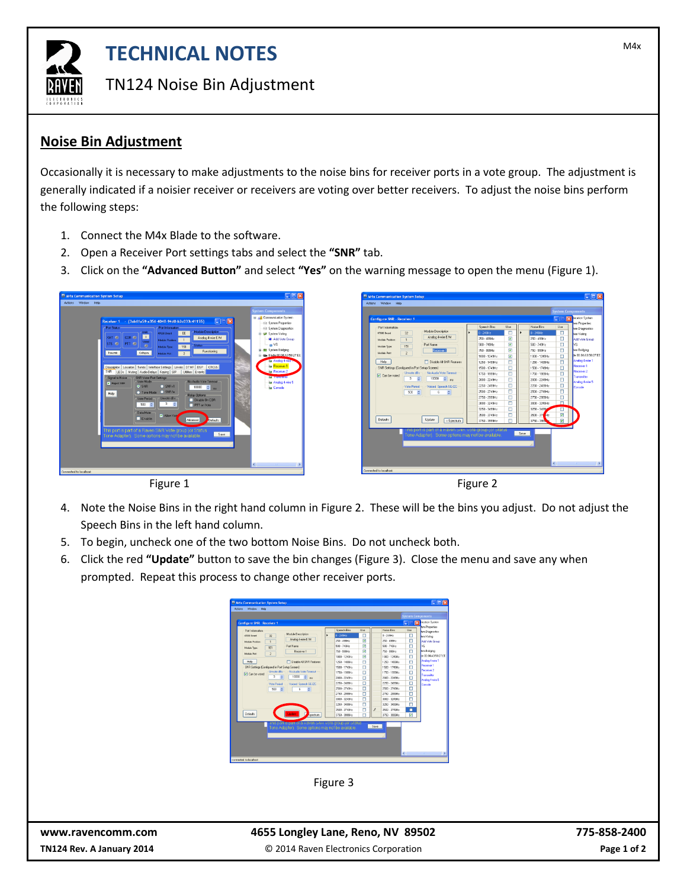

## **TECHNICAL NOTES TECHNICAL NOTES**

TN124 Noise Bin Adjustment

## **Noise Bin Adjustment**

Occasionally it is necessary to make adjustments to the noise bins for receiver ports in a vote group. The adjustment is generally indicated if a noisier receiver or receivers are voting over better receivers. To adjust the noise bins perform the following steps:

- 1. Connect the M4x Blade to the software.
- 2. Open a Receiver Port settings tabs and select the **"SNR"** tab.
- 3. Click on the **"Advanced Button"** and select **"Yes"** on the warning message to open the menu (Figure 1).





 $\fbox{Deľadits}$ Update cSp



- 4. Note the Noise Bins in the right hand column in Figure 2. These will be the bins you adjust. Do not adjust the Speech Bins in the left hand column.
- 5. To begin, uncheck one of the two bottom Noise Bins. Do not uncheck both.
- 6. Click the red **"Update"** button to save the bin changes (Figure 3). Close the menu and save any when prompted. Repeat this process to change other receiver ports.

|                                                |                                            |                                                                                                |               |                            |          |               |                           |          | <b>System Components</b>                        |
|------------------------------------------------|--------------------------------------------|------------------------------------------------------------------------------------------------|---------------|----------------------------|----------|---------------|---------------------------|----------|-------------------------------------------------|
| <b>Configure SNR - Receiver 1</b>              |                                            |                                                                                                |               |                            |          |               |                           | ᆓ<br>п   | rication System                                 |
| Port Information<br>42030 Down                 | $\overline{\mathcal{L}}$                   | Module Description                                                                             | ٠             | Speech Bins<br>$0 - 2494z$ | Use<br>о |               | Noise Rice<br>$0 - 2494x$ | Use<br>о | tem Properties<br>tem Diagnostics<br>tem Voling |
| Module Providers                               | 1                                          | Analog 4-vise E/M                                                                              |               | 250 - 499Hz                | V        |               | 250 - 499Hz               | п        | Add Vote Group                                  |
| <b>Medule Type:</b>                            | 151                                        | Port Name                                                                                      |               | 500 - 749Hz                | v        |               | 500 - 749Hz               | г        | M.                                              |
| Medale Part                                    | $\overline{2}$                             | <b>Beceiver 1</b>                                                                              |               | 750 - 999Hz                | Ø        |               | 750 - 999Hz               | п        | ham Bridging                                    |
|                                                |                                            |                                                                                                |               | 1000 - 1249Hz              | v        |               | 1000 - 1249Hz             | п        | 5000142502755                                   |
| Help                                           |                                            | <sup>1</sup> Disable 44 SNR Features                                                           |               | 1250 - 1499Hz              | г        |               | 1250 - 1499Hz             | г        | Analog 4-vise 1                                 |
| SNR Settings (Configured in Port Setup Screen) |                                            |                                                                                                |               | 1500 - 1749Hz              | Ë        |               | 1500 - 1749Hz             | Е        | <b>Received</b> 1<br>Receiver <sub>2</sub>      |
| <b>D</b> Can be voted                          | Unvote dBs<br>÷<br>Vote Period<br>500<br>÷ | No Audio Vote Timeout<br>10000<br>$\left\  \cdot \right\ $ ms<br>Voiced Sorech SE/ZC<br>E<br>÷ | 1750 - 1999Hz |                            | г        |               | 1750 - 1999Hz             | п        | Transmitter                                     |
|                                                |                                            |                                                                                                |               | 2000 - 2249Hz              | г        |               | 2008 - 2249Hz             | П        | Analog 4 visa 5                                 |
|                                                |                                            |                                                                                                |               | 2250 - 2499Hz              | г        |               | 2250 - 2493Hz             |          | п<br>Console                                    |
|                                                |                                            |                                                                                                |               | 2500 - 2749Hz              | г        |               | 2500 - 2749Hz             | г        |                                                 |
|                                                |                                            |                                                                                                |               | 2750 - 29994+              | п        |               | 2750 - 2999Hz             | п        |                                                 |
|                                                |                                            |                                                                                                |               | 3000 - 3249Hz              | г        |               | 3000 - 3249Hz             | П        |                                                 |
|                                                |                                            |                                                                                                |               | 3250 - 3499Hz              | г        |               | 3250 - 3493Hz             | П        |                                                 |
|                                                |                                            |                                                                                                |               | 3500 - 3749Hz              | г        | $\mathcal{I}$ | 3500 - 3749Hz             | п        |                                                 |
| Defaults                                       |                                            | Spectrum                                                                                       |               | 3750 - 3999Hz              | г        |               | 3750 - 3999Hz             | F        |                                                 |